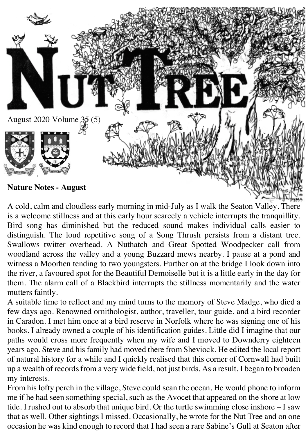

A cold, calm and cloudless early morning in mid-July as I walk the Seaton Valley. There is a welcome stillness and at this early hour scarcely a vehicle interrupts the tranquillity. Bird song has diminished but the reduced sound makes individual calls easier to distinguish. The loud repetitive song of a Song Thrush persists from a distant tree. Swallows twitter overhead. A Nuthatch and Great Spotted Woodpecker call from woodland across the valley and a young Buzzard mews nearby. I pause at a pond and witness a Moorhen tending to two youngsters. Further on at the bridge I look down into the river, a favoured spot for the Beautiful Demoiselle but it is a little early in the day for them. The alarm call of a Blackbird interrupts the stillness momentarily and the water mutters faintly.

A suitable time to reflect and my mind turns to the memory of Steve Madge, who died a few days ago. Renowned ornithologist, author, traveller, tour guide, and a bird recorder in Caradon. I met him once at a bird reserve in Norfolk where he was signing one of his books. I already owned a couple of his identification guides. Little did I imagine that our paths would cross more frequently when my wife and I moved to Downderry eighteen years ago. Steve and his family had moved there from Sheviock. He edited the local report of natural history for a while and I quickly realised that this corner of Cornwall had built up a wealth of records from a very wide field, not just birds. As a result, I began to broaden my interests.

From his lofty perch in the village, Steve could scan the ocean. He would phone to inform me if he had seen something special, such as the Avocet that appeared on the shore at low tide. I rushed out to absorb that unique bird. Or the turtle swimming close inshore – I saw that as well. Other sightings I missed. Occasionally, he wrote for the Nut Tree and on one occasion he was kind enough to record that I had seen a rare Sabine's Gull at Seaton after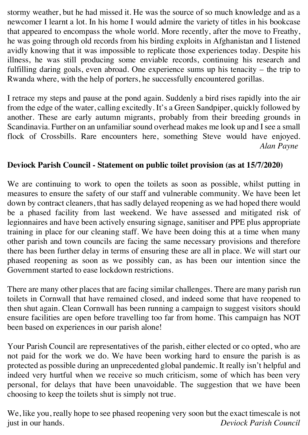stormy weather, but he had missed it. He was the source of so much knowledge and as a newcomer I learnt a lot. In his home I would admire the variety of titles in his bookcase that appeared to encompass the whole world. More recently, after the move to Freathy, he was going through old records from his birding exploits in Afghanistan and I listened avidly knowing that it was impossible to replicate those experiences today. Despite his illness, he was still producing some enviable records, continuing his research and fulfilling daring goals, even abroad. One experience sums up his tenacity – the trip to Rwanda where, with the help of porters, he successfully encountered gorillas.

I retrace my steps and pause at the pond again. Suddenly a bird rises rapidly into the air from the edge of the water, calling excitedly. It's a Green Sandpiper, quickly followed by another. These are early autumn migrants, probably from their breeding grounds in Scandinavia. Further on an unfamiliar sound overhead makes me look up and I see a small flock of Crossbills. Rare encounters here, something Steve would have enjoyed.  *Alan Payne*

# **Deviock Parish Council - Statement on public toilet provision (as at 15/7/2020)**

We are continuing to work to open the toilets as soon as possible, whilst putting in measures to ensure the safety of our staff and vulnerable community. We have been let down by contract cleaners, that has sadly delayed reopening as we had hoped there would be a phased facility from last weekend. We have assessed and mitigated risk of legionnaires and have been actively ensuring signage, sanitiser and PPE plus appropriate training in place for our cleaning staff. We have been doing this at a time when many other parish and town councils are facing the same necessary provisions and therefore there has been further delay in terms of ensuring these are all in place. We will start our phased reopening as soon as we possibly can, as has been our intention since the Government started to ease lockdown restrictions.

There are many other places that are facing similar challenges. There are many parish run toilets in Cornwall that have remained closed, and indeed some that have reopened to then shut again. Clean Cornwall has been running a campaign to suggest visitors should ensure facilities are open before travelling too far from home. This campaign has NOT been based on experiences in our parish alone!

Your Parish Council are representatives of the parish, either elected or co opted, who are not paid for the work we do. We have been working hard to ensure the parish is as protected as possible during an unprecedented global pandemic. It really isn't helpful and indeed very hurtful when we receive so much criticism, some of which has been very personal, for delays that have been unavoidable. The suggestion that we have been choosing to keep the toilets shut is simply not true.

We, like you, really hope to see phased reopening very soon but the exact timescale is not just in our hands. *Deviock Parish Council*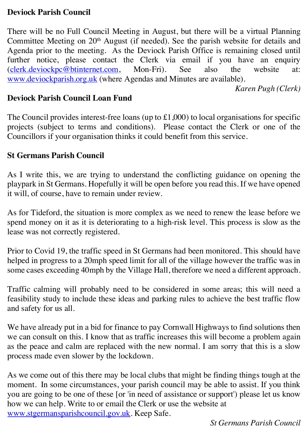## **Deviock Parish Council**

There will be no Full Council Meeting in August, but there will be a virtual Planning Committee Meeting on 20<sup>th</sup> August (if needed). See the parish website for details and Agenda prior to the meeting. As the Deviock Parish Office is remaining closed until further notice, please contact the Clerk via email if you have an enquiry (clerk.deviockpc@btinternet.com, Mon-Fri). See also the website at: www.deviockparish.org.uk (where Agendas and Minutes are available).

*Karen Pugh (Clerk)*

### **Deviock Parish Council Loan Fund**

The Council provides interest-free loans (up to £1,000) to local organisations for specific projects (subject to terms and conditions). Please contact the Clerk or one of the Councillors if your organisation thinks it could benefit from this service.

### **St Germans Parish Council**

As I write this, we are trying to understand the conflicting guidance on opening the playpark in St Germans. Hopefully it will be open before you read this. If we have opened it will, of course, have to remain under review.

As for Tideford, the situation is more complex as we need to renew the lease before we spend money on it as it is deteriorating to a high-risk level. This process is slow as the lease was not correctly registered.

Prior to Covid 19, the traffic speed in St Germans had been monitored. This should have helped in progress to a 20mph speed limit for all of the village however the traffic was in some cases exceeding 40mph by the Village Hall, therefore we need a different approach.

Traffic calming will probably need to be considered in some areas; this will need a feasibility study to include these ideas and parking rules to achieve the best traffic flow and safety for us all.

We have already put in a bid for finance to pay Cornwall Highways to find solutions then we can consult on this. I know that as traffic increases this will become a problem again as the peace and calm are replaced with the new normal. I am sorry that this is a slow process made even slower by the lockdown.

As we come out of this there may be local clubs that might be finding things tough at the moment. In some circumstances, your parish council may be able to assist. If you think you are going to be one of these [or 'in need of assistance or support') please let us know how we can help. Write to or email the Clerk or use the website at www.stgermansparishcouncil.gov.uk. Keep Safe.

*St Germans Parish Council*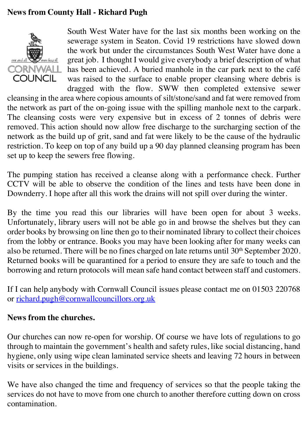# **News from County Hall - Richard Pugh**



South West Water have for the last six months been working on the sewerage system in Seaton. Covid 19 restrictions have slowed down the work but under the circumstances South West Water have done a great job. I thought I would give everybody a brief description of what has been achieved. A buried manhole in the car park next to the café was raised to the surface to enable proper cleansing where debris is dragged with the flow. SWW then completed extensive sewer

cleansing in the area where copious amounts of silt/stone/sand and fat were removed from the network as part of the on-going issue with the spilling manhole next to the carpark. The cleansing costs were very expensive but in excess of 2 tonnes of debris were removed. This action should now allow free discharge to the surcharging section of the network as the build up of grit, sand and fat were likely to be the cause of the hydraulic restriction. To keep on top of any build up a 90 day planned cleansing program has been set up to keep the sewers free flowing.

The pumping station has received a cleanse along with a performance check. Further CCTV will be able to observe the condition of the lines and tests have been done in Downderry. I hope after all this work the drains will not spill over during the winter.

By the time you read this our libraries will have been open for about 3 weeks. Unfortunately, library users will not be able go in and browse the shelves but they can order books by browsing on line then go to their nominated library to collect their choices from the lobby or entrance. Books you may have been looking after for many weeks can also be returned. There will be no fines charged on late returns until 30<sup>th</sup> September 2020. Returned books will be quarantined for a period to ensure they are safe to touch and the borrowing and return protocols will mean safe hand contact between staff and customers.

If I can help anybody with Cornwall Council issues please contact me on 01503 220768 or richard.pugh@cornwallcouncillors.org.uk

## **News from the churches.**

Our churches can now re-open for worship. Of course we have lots of regulations to go through to maintain the government's health and safety rules, like social distancing, hand hygiene, only using wipe clean laminated service sheets and leaving 72 hours in between visits or services in the buildings.

We have also changed the time and frequency of services so that the people taking the services do not have to move from one church to another therefore cutting down on cross contamination.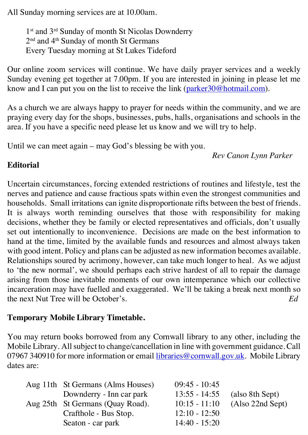All Sunday morning services are at 10.00am.

1<sup>st</sup> and 3<sup>rd</sup> Sunday of month St Nicolas Downderry 2<sup>nd</sup> and 4<sup>th</sup> Sunday of month St Germans Every Tuesday morning at St Lukes Tideford

Our online zoom services will continue. We have daily prayer services and a weekly Sunday evening get together at 7.00pm. If you are interested in joining in please let me know and I can put you on the list to receive the link (parker 30@hotmail.com).

As a church we are always happy to prayer for needs within the community, and we are praying every day for the shops, businesses, pubs, halls, organisations and schools in the area. If you have a specific need please let us know and we will try to help.

Until we can meet again – may God's blessing be with you.

*Rev Canon Lynn Parker*

# **Editorial**

Uncertain circumstances, forcing extended restrictions of routines and lifestyle, test the nerves and patience and cause fractious spats within even the strongest communities and households. Small irritations can ignite disproportionate rifts between the best of friends. It is always worth reminding ourselves that those with responsibility for making decisions, whether they be family or elected representatives and officials, don't usually set out intentionally to inconvenience. Decisions are made on the best information to hand at the time, limited by the available funds and resources and almost always taken with good intent. Policy and plans can be adjusted as new information becomes available. Relationships soured by acrimony, however, can take much longer to heal. As we adjust to 'the new normal', we should perhaps each strive hardest of all to repair the damage arising from those inevitable moments of our own intemperance which our collective incarceration may have fuelled and exaggerated. We'll be taking a break next month so the next Nut Tree will be October's. *Ed*

## **Temporary Mobile Library Timetable.**

You may return books borrowed from any Cornwall library to any other, including the Mobile Library. All subject to change/cancellation in line with government guidance. Call 07967 340910 for more information or email libraries@cornwall.gov.uk. Mobile Library dates are:

| Aug 11th St Germans (Alms Houses) | $09:45 - 10:45$ |                  |
|-----------------------------------|-----------------|------------------|
| Downderry - Inn car park          | $13:55 - 14:55$ | (also 8th Sept)  |
| Aug 25th St Germans (Quay Road).  | $10:15 - 11:10$ | (Also 22nd Sept) |
| Crafthole - Bus Stop.             | $12:10 - 12:50$ |                  |
| Seaton - car park                 | $14:40 - 15:20$ |                  |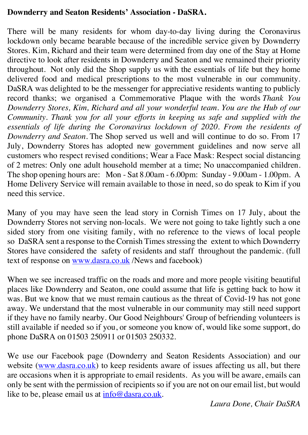## **Downderry and Seaton Residents' Association - DaSRA.**

There will be many residents for whom day-to-day living during the Coronavirus lockdown only became bearable because of the incredible service given by Downderry Stores. Kim, Richard and their team were determined from day one of the Stay at Home directive to look after residents in Downderry and Seaton and we remained their priority throughout. Not only did the Shop supply us with the essentials of life but they home delivered food and medical prescriptions to the most vulnerable in our community. DaSRA was delighted to be the messenger for appreciative residents wanting to publicly record thanks; we organised a Commemorative Plaque with the words *Thank You Downderry Stores, Kim, Richard and all your wonderful team. You are the Hub of our Community. Thank you for all your efforts in keeping us safe and supplied with the*  essentials of life during the Coronavirus lockdown of 2020. From the residents of *Downderry and Seaton.* The Shop served us well and will continue to do so. From 17 July, Downderry Stores has adopted new government guidelines and now serve all customers who respect revised conditions; Wear a Face Mask: Respect social distancing of 2 metres: Only one adult household member at a time; No unaccompanied children. The shop opening hours are: Mon - Sat 8.00am - 6.00pm: Sunday - 9.00am - 1.00pm. A Home Delivery Service will remain available to those in need, so do speak to Kim if you need this service.

Many of you may have seen the lead story in Cornish Times on 17 July, about the Downderry Stores not serving non-locals. We were not going to take lightly such a one sided story from one visiting family, with no reference to the views of local people so DaSRA sent a response to the Cornish Times stressing the extent to which Downderry Stores have considered the safety of residents and staff throughout the pandemic. (full text of response on www.dasra.co.uk /News and facebook)

When we see increased traffic on the roads and more and more people visiting beautiful places like Downderry and Seaton, one could assume that life is getting back to how it was. But we know that we must remain cautious as the threat of Covid-19 has not gone away. We understand that the most vulnerable in our community may still need support if they have no family nearby. Our Good Neighbours' Group of befriending volunteers is still available if needed so if you, or someone you know of, would like some support, do phone DaSRA on 01503 250911 or 01503 250332.

We use our Facebook page (Downderry and Seaton Residents Association) and our website (www.dasra.co.uk) to keep residents aware of issues affecting us all, but there are occasions when it is appropriate to email residents. As you will be aware, emails can only be sent with the permission of recipients so if you are not on our email list, but would like to be, please email us at info@dasra.co.uk.

 *Laura Done, Chair DaSRA*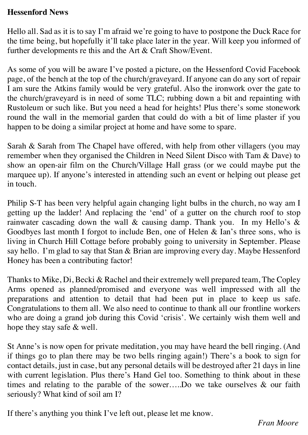### **Hessenford News**

Hello all. Sad as it is to say I'm afraid we're going to have to postpone the Duck Race for the time being, but hopefully it'll take place later in the year. Will keep you informed of further developments re this and the Art & Craft Show/Event.

As some of you will be aware I've posted a picture, on the Hessenford Covid Facebook page, of the bench at the top of the church/graveyard. If anyone can do any sort of repair I am sure the Atkins family would be very grateful. Also the ironwork over the gate to the church/graveyard is in need of some TLC; rubbing down a bit and repainting with Rustoleum or such like. But you need a head for heights! Plus there's some stonework round the wall in the memorial garden that could do with a bit of lime plaster if you happen to be doing a similar project at home and have some to spare.

Sarah & Sarah from The Chapel have offered, with help from other villagers (you may remember when they organised the Children in Need Silent Disco with Tam & Dave) to show an open-air film on the Church/Village Hall grass (or we could maybe put the marquee up). If anyone's interested in attending such an event or helping out please get in touch.

Philip S-T has been very helpful again changing light bulbs in the church, no way am I getting up the ladder! And replacing the 'end' of a gutter on the church roof to stop rainwater cascading down the wall  $\&$  causing damp. Thank you. In my Hello's  $\&$ Goodbyes last month I forgot to include Ben, one of Helen & Ian's three sons, who is living in Church Hill Cottage before probably going to university in September. Please say hello. I'm glad to say that Stan & Brian are improving every day. Maybe Hessenford Honey has been a contributing factor!

Thanks to Mike, Di, Becki & Rachel and their extremely well prepared team, The Copley Arms opened as planned/promised and everyone was well impressed with all the preparations and attention to detail that had been put in place to keep us safe. Congratulations to them all. We also need to continue to thank all our frontline workers who are doing a grand job during this Covid 'crisis'. We certainly wish them well and hope they stay safe & well.

St Anne's is now open for private meditation, you may have heard the bell ringing. (And if things go to plan there may be two bells ringing again!) There's a book to sign for contact details, just in case, but any personal details will be destroyed after 21 days in line with current legislation. Plus there's Hand Gel too. Something to think about in these times and relating to the parable of the sower…..Do we take ourselves & our faith seriously? What kind of soil am I?

If there's anything you think I've left out, please let me know.

 *Fran Moore*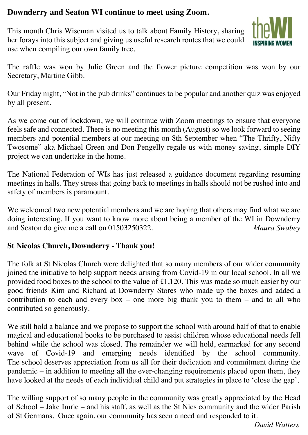# **Downderry and Seaton WI continue to meet using Zoom.**

This month Chris Wiseman visited us to talk about Family History, sharing her forays into this subject and giving us useful research routes that we could use when compiling our own family tree.



The raffle was won by Julie Green and the flower picture competition was won by our Secretary, Martine Gibb.

Our Friday night, "Not in the pub drinks" continues to be popular and another quiz was enjoyed by all present.

As we come out of lockdown, we will continue with Zoom meetings to ensure that everyone feels safe and connected. There is no meeting this month (August) so we look forward to seeing members and potential members at our meeting on 8th September when "The Thrifty, Nifty Twosome" aka Michael Green and Don Pengelly regale us with money saving, simple DIY project we can undertake in the home.

The National Federation of WIs has just released a guidance document regarding resuming meetings in halls. They stress that going back to meetings in halls should not be rushed into and safety of members is paramount.

We welcomed two new potential members and we are hoping that others may find what we are doing interesting. If you want to know more about being a member of the WI in Downderry and Seaton do give me a call on 01503250322. *Maura Swabey*

#### **St Nicolas Church, Downderry - Thank you!**

The folk at St Nicolas Church were delighted that so many members of our wider community joined the initiative to help support needs arising from Covid-19 in our local school. In all we provided food boxes to the school to the value of £1,120. This was made so much easier by our good friends Kim and Richard at Downderry Stores who made up the boxes and added a contribution to each and every box – one more big thank you to them – and to all who contributed so generously.

We still hold a balance and we propose to support the school with around half of that to enable magical and educational books to be purchased to assist children whose educational needs fell behind while the school was closed. The remainder we will hold, earmarked for any second wave of Covid-19 and emerging needs identified by the school community. The school deserves appreciation from us all for their dedication and commitment during the pandemic – in addition to meeting all the ever-changing requirements placed upon them, they have looked at the needs of each individual child and put strategies in place to 'close the gap'.

The willing support of so many people in the community was greatly appreciated by the Head of School – Jake Imrie – and his staff, as well as the St Nics community and the wider Parish of St Germans. Once again, our community has seen a need and responded to it.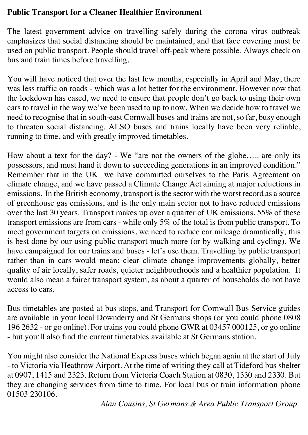# **Public Transport for a Cleaner Healthier Environment**

The latest government advice on travelling safely during the corona virus outbreak emphasizes that social distancing should be maintained, and that face covering must be used on public transport. People should travel off-peak where possible. Always check on bus and train times before travelling.

You will have noticed that over the last few months, especially in April and May, there was less traffic on roads - which was a lot better for the environment. However now that the lockdown has eased, we need to ensure that people don't go back to using their own cars to travel in the way we've been used to up to now. When we decide how to travel we need to recognise that in south-east Cornwall buses and trains are not, so far, busy enough to threaten social distancing. ALSO buses and trains locally have been very reliable, running to time, and with greatly improved timetables.

How about a text for the day? - We "are not the owners of the globe….. are only its possessors, and must hand it down to succeeding generations in an improved condition." Remember that in the UK we have committed ourselves to the Paris Agreement on climate change, and we have passed a Climate Change Act aiming at major reductions in emissions. In the British economy, transport is the sector with the worst record as a source of greenhouse gas emissions, and is the only main sector not to have reduced emissions over the last 30 years. Transport makes up over a quarter of UK emissions. 55% of these transport emissions are from cars - while only 5% of the total is from public transport. To meet government targets on emissions, we need to reduce car mileage dramatically; this is best done by our using public transport much more (or by walking and cycling). We have campaigned for our trains and buses - let's use them. Travelling by public transport rather than in cars would mean: clear climate change improvements globally, better quality of air locally, safer roads, quieter neighbourhoods and a healthier population. It would also mean a fairer transport system, as about a quarter of households do not have access to cars.

Bus timetables are posted at bus stops, and Transport for Cornwall Bus Service guides are available in your local Downderry and St Germans shops (or you could phone 0808 196 2632 - or go online). For trains you could phone GWR at 03457 000125, or go online - but you'll also find the current timetables available at St Germans station.

You might also consider the National Express buses which began again at the start of July - to Victoria via Heathrow Airport. At the time of writing they call at Tideford bus shelter at 0907, 1415 and 2323. Return from Victoria Coach Station at 0830, 1330 and 2330. But they are changing services from time to time. For local bus or train information phone 01503 230106.

*Alan Cousins, St Germans & Area Public Transport Group*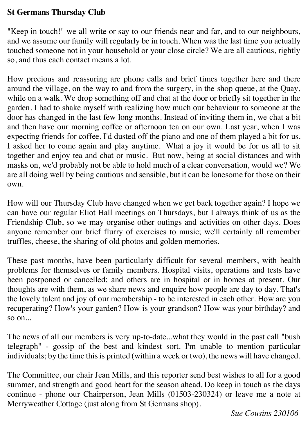### **St Germans Thursday Club**

"Keep in touch!" we all write or say to our friends near and far, and to our neighbours, and we assume our family will regularly be in touch. When was the last time you actually touched someone not in your household or your close circle? We are all cautious, rightly so, and thus each contact means a lot.

How precious and reassuring are phone calls and brief times together here and there around the village, on the way to and from the surgery, in the shop queue, at the Quay, while on a walk. We drop something off and chat at the door or briefly sit together in the garden. I had to shake myself with realizing how much our behaviour to someone at the door has changed in the last few long months. Instead of inviting them in, we chat a bit and then have our morning coffee or afternoon tea on our own. Last year, when I was expecting friends for coffee, I'd dusted off the piano and one of them played a bit for us. I asked her to come again and play anytime. What a joy it would be for us all to sit together and enjoy tea and chat or music. But now, being at social distances and with masks on, we'd probably not be able to hold much of a clear conversation, would we? We are all doing well by being cautious and sensible, but it can be lonesome for those on their own.

How will our Thursday Club have changed when we get back together again? I hope we can have our regular Eliot Hall meetings on Thursdays, but I always think of us as the Friendship Club, so we may organise other outings and activities on other days. Does anyone remember our brief flurry of exercises to music; we'll certainly all remember truffles, cheese, the sharing of old photos and golden memories.

These past months, have been particularly difficult for several members, with health problems for themselves or family members. Hospital visits, operations and tests have been postponed or cancelled; and others are in hospital or in homes at present. Our thoughts are with them, as we share news and enquire how people are day to day. That's the lovely talent and joy of our membership - to be interested in each other. How are you recuperating? How's your garden? How is your grandson? How was your birthday? and so on...

The news of all our members is very up-to-date...what they would in the past call "bush telegraph" - gossip of the best and kindest sort. I'm unable to mention particular individuals; by the time this is printed (within a week or two), the news will have changed.

The Committee, our chair Jean Mills, and this reporter send best wishes to all for a good summer, and strength and good heart for the season ahead. Do keep in touch as the days continue - phone our Chairperson, Jean Mills (01503-230324) or leave me a note at Merryweather Cottage (just along from St Germans shop).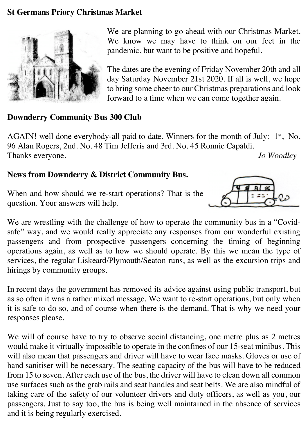## **St Germans Priory Christmas Market**



We are planning to go ahead with our Christmas Market. We know we may have to think on our feet in the pandemic, but want to be positive and hopeful.

The dates are the evening of Friday November 20th and all day Saturday November 21st 2020. If all is well, we hope to bring some cheer to our Christmas preparations and look forward to a time when we can come together again.

#### **Downderry Community Bus 300 Club**

AGAIN! well done everybody-all paid to date. Winners for the month of July:  $1<sup>st</sup>$ , No. 96 Alan Rogers, 2nd. No. 48 Tim Jefferis and 3rd. No. 45 Ronnie Capaldi. Thanks everyone. *Jo Woodley*

#### **News from Downderry & District Community Bus.**

When and how should we re-start operations? That is the question. Your answers will help.



We are wrestling with the challenge of how to operate the community bus in a "Covidsafe" way, and we would really appreciate any responses from our wonderful existing passengers and from prospective passengers concerning the timing of beginning operations again, as well as to how we should operate. By this we mean the type of services, the regular Liskeard/Plymouth/Seaton runs, as well as the excursion trips and hirings by community groups.

In recent days the government has removed its advice against using public transport, but as so often it was a rather mixed message. We want to re-start operations, but only when it is safe to do so, and of course when there is the demand. That is why we need your responses please.

We will of course have to try to observe social distancing, one metre plus as 2 metres would make it virtually impossible to operate in the confines of our 15-seat minibus. This will also mean that passengers and driver will have to wear face masks. Gloves or use of hand sanitiser will be necessary. The seating capacity of the bus will have to be reduced from 15 to seven. After each use of the bus, the driver will have to clean down all common use surfaces such as the grab rails and seat handles and seat belts. We are also mindful of taking care of the safety of our volunteer drivers and duty officers, as well as you, our passengers. Just to say too, the bus is being well maintained in the absence of services and it is being regularly exercised.